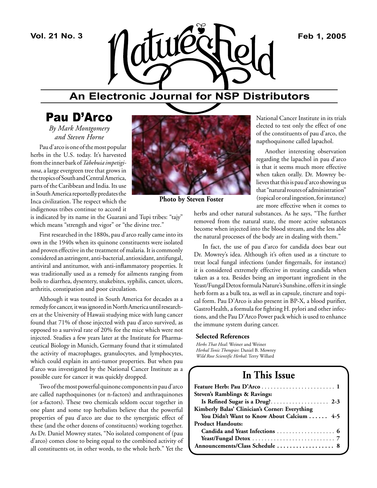

### **An Electronic Journal for NSP Distributors**

Pau D'Arco

*By Mark Montgomery and Steven Horne*

Pau d'arco is one of the most popular herbs in the U.S. today. It's harvested from the inner bark of *Tabebuia impetiginosa*, a large evergreen tree that grows in the tropics of South and Central America, parts of the Caribbean and India. Its use in South America reportedly predates the Inca civilization. The respect which the indigenous tribes continue to accord it

is indicated by its name in the Guarani and Tupi tribes: "tajy" which means "strength and vigor" or "the divine tree."

First researched in the 1880s, pau d'arco really came into its own in the 1940s when its quinone constituents were isolated and proven effective in the treatment of malaria. It is commonly considered an astringent, anti-bacterial, antioxidant, antifungal, antiviral and antitumor, with anti-inflammatory properties. It was traditionally used as a remedy for ailments ranging from boils to diarrhea, dysentery, snakebites, syphilis, cancer, ulcers, arthritis, constipation and poor circulation.

Although it was touted in South America for decades as a remedy for cancer, it was ignored in North America until researchers at the University of Hawaii studying mice with lung cancer found that 71% of those injected with pau d'arco survived, as opposed to a survival rate of 20% for the mice which were not injected. Studies a few years later at the Institute for Pharmaceutical Biology in Munich, Germany found that it stimulated the activity of macrophages, granulocytes, and lymphocytes, which could explain its anti-tumor properties. But when pau d'arco was investigated by the National Cancer Institute as a possible cure for cancer it was quickly dropped.

Two of the most powerful quinone components in pau d'arco are called napthoquinones (or n-factors) and anthraquinones (or a-factors). These two chemicals seldom occur together in one plant and some top herbalists believe that the powerful properties of pau d'arco are due to the synergistic effect of these (and the other dozens of constituents) working together. As Dr. Daniel Mowrey states, "No isolated component of (pau d'arco) comes close to being equal to the combined activity of all constituents or, in other words, to the whole herb." Yet the



**Photo by Steven Foster**

National Cancer Institute in its trials elected to test only the effect of one of the constituents of pau d'arco, the napthoquinone called lapachol.

Another interesting observation regarding the lapachol in pau d'arco is that it seems much more effective when taken orally. Dr. Mowrey believes that this is pau d'arco showing us that "natural routes of administration" (topical or oral ingestion, for instance) are more effective when it comes to

herbs and other natural substances. As he says, "The further removed from the natural state, the more active substances become when injected into the blood stream, and the less able the natural processes of the body are in dealing with them."

In fact, the use of pau d'arco for candida does bear out Dr. Mowrey's idea. Although it's often used as a tincture to treat local fungal infections (under fingernails, for instance) it is considered extremely effective in treating candida when taken as a tea. Besides being an important ingredient in the Yeast/Fungal Detox formula Nature's Sunshine, offers it in single herb form as a bulk tea, as well as in capsule, tincture and topical form. Pau D'Arco is also present in BP-X, a blood purifier, GastroHealth, a formula for fighting H. pylori and other infections, and the Pau D'Arco Power pack which is used to enhance the immune system during cancer.

### **Selected References**

*Herbs That Heal*: Weiner and Weiner *Herbal Tonic Therapies*: Daniel B. Mowrey *Wild Rose Scientific Herbal*: Terry Willard

### **In This Issue**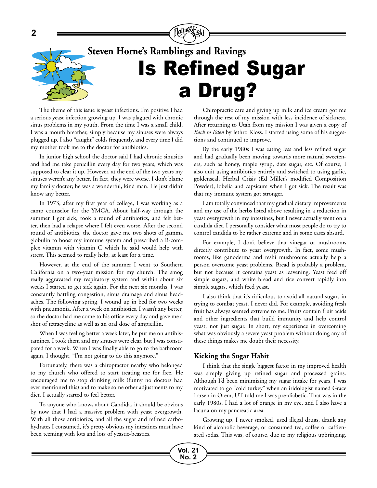

The theme of this issue is yeast infections. I'm positive I had a serious yeast infection growing up. I was plagued with chronic sinus problems in my youth. From the time I was a small child, I was a mouth breather, simply because my sinuses were always plugged up. I also "caught" colds frequently, and every time I did my mother took me to the doctor for antibiotics.

In junior high school the doctor said I had chronic sinusitis and had me take penicillin every day for two years, which was supposed to clear it up. However, at the end of the two years my sinuses weren't any better. In fact, they were worse. I don't blame my family doctor; he was a wonderful, kind man. He just didn't know any better.

In 1973, after my first year of college, I was working as a camp counselor for the YMCA. About half-way through the summer I got sick, took a round of antibiotics, and felt better, then had a relapse where I felt even worse. After the second round of antibiotics, the doctor gave me two shots of gamma globulin to boost my immune system and prescribed a B-complex vitamin with vitamin C which he said would help with stress. This seemed to really help, at least for a time.

However, at the end of the summer I went to Southern California on a two-year mission for my church. The smog really aggravated my respiratory system and within about six weeks I started to get sick again. For the next six months, I was constantly battling congestion, sinus drainage and sinus headaches. The following spring, I wound up in bed for two weeks with pneumonia. After a week on antibiotics, I wasn't any better, so the doctor had me come to his office every day and gave me a shot of tetracycline as well as an oral dose of ampicillin.

When I was feeling better a week later, he put me on antihistamines. I took them and my sinuses were clear, but I was constipated for a week. When I was finally able to go to the bathroom again, I thought, "I'm not going to do this anymore."

Fortunately, there was a chiropractor nearby who belonged to my church who offered to start treating me for free. He encouraged me to stop drinking milk (funny no doctors had ever mentioned this) and to make some other adjustments to my diet. I actually started to feel better.

To anyone who knows about Candida, it should be obvious by now that I had a massive problem with yeast overgrowth. With all those antibiotics, and all the sugar and refined carbohydrates I consumed, it's pretty obvious my intestines must have been teeming with lots and lots of yeastie-beasties.

Chiropractic care and giving up milk and ice cream got me through the rest of my mission with less incidence of sickness. After returning to Utah from my mission I was given a copy of *Back to Eden* by Jethro Kloss. I started using some of his suggestions and continued to improve.

By the early 1980s I was eating less and less refined sugar and had gradually been moving towards more natural sweeteners, such as honey, maple syrup, date sugar, etc. Of course, I also quit using antibiotics entirely and switched to using garlic, goldenseal, Herbal Crisis (Ed Millet's modified Composition Powder), lobelia and capsicum when I got sick. The result was that my immune system got stronger.

I am totally convinced that my gradual dietary improvements and my use of the herbs listed above resulting in a reduction in yeast overgrowth in my intestines, but I never actually went on a candida diet. I personally consider what most people do to try to control candida to be rather extreme and in some cases absurd.

For example, I don't believe that vinegar or mushrooms directly contribute to yeast overgrowth. In fact, some mushrooms, like ganoderma and reshi mushrooms actually help a person overcome yeast problems. Bread is probably a problem, but not because it contains yeast as leavening. Yeast feed off simple sugars, and white bread and rice convert rapidly into simple sugars, which feed yeast.

I also think that it's ridiculous to avoid all natural sugars in trying to combat yeast. I never did. For example, avoiding fresh fruit has always seemed extreme to me. Fruits contain fruit acids and other ingredients that build immunity and help control yeast, not just sugar. In short, my experience in overcoming what was obviously a severe yeast problem without doing any of these things makes me doubt their necessity.

### **Kicking the Sugar Habit**

I think that the single biggest factor in my improved health was simply giving up refined sugar and processed grains. Although I'd been minimizing my sugar intake for years, I was motivated to go "cold turkey" when an iridologist named Grace Larsen in Orem, UT told me I was pre-diabetic. That was in the early 1980s. I had a lot of orange in my eye, and I also have a lacuna on my pancreatic area.

Growing up, I never smoked, used illegal drugs, drank any kind of alcoholic beverage, or consumed tea, coffee or caffienated sodas. This was, of course, due to my religious upbringing.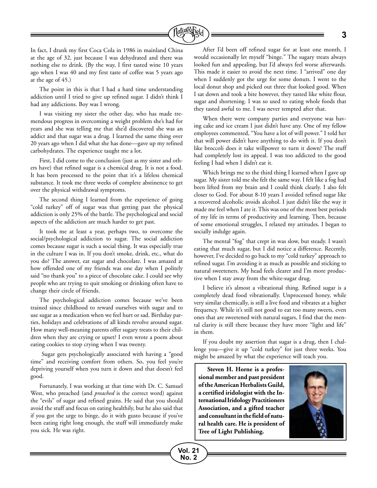

In fact, I drank my first Coca Cola in 1986 in mainland China at the age of 32, just because I was dehydrated and there was nothing else to drink. (By the way, I first tasted wine 10 years ago when I was 40 and my first taste of coffee was 5 years ago at the age of 45.)

The point in this is that I had a hard time understanding addiction until I tried to give up refined sugar. I didn't think I had any addictions. Boy was I wrong.

I was visiting my sister the other day, who has made tremendous progress in overcoming a weight problem she's had for years and she was telling me that she'd discovered she was an addict and that sugar was a drug. I learned the same thing over 20 years ago when I did what she has done—gave up my refined carbohydrates. The experience taught me a lot.

First, I did come to the conclusion (just as my sister and others have) that refined sugar is a chemical drug. It is not a food. It has been processed to the point that it's a lifeless chemical substance. It took me three weeks of complete abstinence to get over the physical withdrawal symptoms.

The second thing I learned from the experience of going "cold turkey" off of sugar was that getting past the physical addiction is only 25% of the battle. The psychological and social aspects of the addiction are much harder to get past.

It took me at least a year, perhaps two, to overcome the social/psychological addiction to sugar. The social addiction comes because sugar is such a social thing. It was especially true in the culture I was in. If you don't smoke, drink, etc., what do you do? The answer, eat sugar and chocolate. I was amazed at how offended one of my friends was one day when I politely said "no thank you" to a piece of chocolate cake. I could see why people who are trying to quit smoking or drinking often have to change their circle of friends.

The psychological addiction comes because we've been trained since childhood to reward ourselves with sugar and to use sugar as a medication when we feel hurt or sad. Birthday parties, holidays and celebrations of all kinds revolve around sugar. How many well-meaning parents offer sugary treats to their children when they are crying or upset? I even wrote a poem about eating cookies to stop crying when I was twenty.

 Sugar gets psychologically associated with having a "good time" and receiving comfort from others. So, you feel you're depriving yourself when you turn it down and that doesn't feel good.

Fortunately, I was working at that time with Dr. C. Samuel West, who preached (and *preached* is the correct word) against the "evils" of sugar and refined grains. He said that you should avoid the stuff and focus on eating healthily, but he also said that if you got the urge to binge, do it with gusto because if you've been eating right long enough, the stuff will immediately make you sick. He was right.

After I'd been off refined sugar for at least one month, I would occasionally let myself "binge." The sugary treats always looked fun and appealing, but I'd always feel worse afterwards. This made it easier to avoid the next time. I "arrived" one day when I suddenly got the urge for some donuts. I went to the local donut shop and picked out three that looked good. When I sat down and took a bite however, they tasted like white flour, sugar and shortening. I was so used to eating whole foods that they tasted awful to me. I was never tempted after that.

When there were company parties and everyone was having cake and ice cream I just didn't have any. One of my fellow employees commented, "You have a lot of will power." I told her that will power didn't have anything to do with it. If you don't like broccoli does it take willpower to turn it down? The stuff had completely lost its appeal. I was too addicted to the good feeling I had when I didn't eat it.

Which brings me to the third thing I learned when I gave up sugar. My sister told me she felt the same way. I felt like a fog had been lifted from my brain and I could think clearly. I also felt closer to God. For about 8-10 years I avoided refined sugar like a recovered alcoholic avoids alcohol. I just didn't like the way it made me feel when I ate it. This was one of the most best periods of my life in terms of productivity and learning. Then, because of some emotional struggles, I relaxed my attitudes. I began to socially indulge again.

The mental "fog" that crept in was slow, but steady. I wasn't eating that much sugar, but I did notice a difference. Recently, however, I've decided to go back to my "cold turkey" approach to refined sugar. I'm avoiding it as much as possible and sticking to natural sweeteners. My head feels clearer and I'm more productive when I stay away from the white-sugar drug.

I believe it's almost a vibrational thing. Refined sugar is a completely dead food vibrationally. Unprocessed honey, while very similar chemically, is still a live food and vibrates at a higher frequency. While it's still not good to eat too many sweets, even ones that are sweetened with natural sugars, I find that the mental clarity is still there because they have more "light and life" in them.

If you doubt my assertion that sugar is a drug, then I challenge you—give it up "cold turkey" for just three weeks. You might be amazed by what the experience will teach you.

**Steven H. Horne is a professional member and past president of the American Herbalists Guild, a certified iridologist with the International Iridology Practitioners Association, and a gifted teacher and consultant in the field of natural health care. He is president of Tree of Light Publishing.**

**Vol. 21 No. 2**

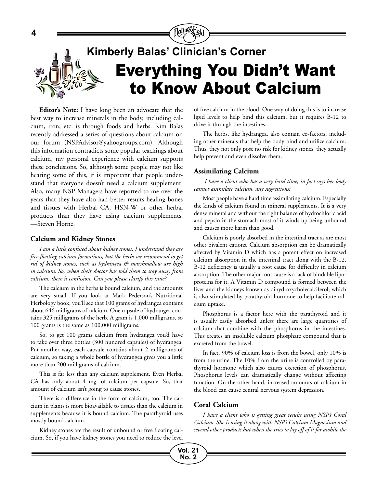

**Editor's Note:** I have long been an advocate that the best way to increase minerals in the body, including calcium, iron, etc. is through foods and herbs. Kim Balas recently addressed a series of questions about calcium on our forum (NSPAdvisor@yahoogroups.com). Although this information contradicts some popular teachings about calcium, my personal experience with calcium supports these conclusions. So, although some people may not like hearing some of this, it is important that people understand that everyone doesn't need a calcium supplement. Also, many NSP Managers have reported to me over the years that they have also had better results healing bones and tissues with Herbal CA, HSN-W or other herbal products than they have using calcium supplements. —Steven Horne.

#### **Calcium and Kidney Stones**

*I am a little confused about kidney stones. I understand they are free floating calcium formations, but the herbs we recommend to get rid of kidney stones, such as hydrangea & marshmallow are high in calcium. So, when their doctor has told them to stay away from calcium, there is confusion. Can you please clarify this issue?*

The calcium in the herbs is bound calcium, and the amounts are very small. If you look at Mark Pederson's Nutritional Herbology book, you'll see that 100 grams of hydrangea contains about 646 milligrams of calcium. One capsule of hydrangea contains 325 milligrams of the herb. A gram is 1,000 milligrams, so 100 grams is the same as 100,000 milligrams.

So, to get 100 grams calcium from hydrangea you'd have to take over three bottles (300 hundred capsules) of hydrangea. Put another way, each capsule contains about 2 milligrams of calcium, so taking a whole bottle of hydrangea gives you a little more than 200 milligrams of calcium.

This is far less than any calcium supplement. Even Herbal CA has only about 4 mg. of calcium per capsule. So, that amount of calcium isn't going to cause stones.

There is a difference in the form of calcium, too. The calcium in plants is more bioavailable to tissues than the calcium in supplements because it is bound calcium. The parathyroid uses mostly bound calcium.

Kidney stones are the result of unbound or free floating calcium. So, if you have kidney stones you need to reduce the level of free calcium in the blood. One way of doing this is to increase lipid levels to help bind this calcium, but it requires B-12 to drive it through the intestines.

The herbs, like hydrangea, also contain co-factors, including other minerals that help the body bind and utilize calcium. Thus, they not only pose no risk for kidney stones, they actually help prevent and even dissolve them.

#### **Assimilating Calcium**

 *I have a client who has a very hard time; in fact says her body cannot assimilate calcium, any suggestions?* 

Most people have a hard time assimilating calcium. Especially the kinds of calcium found in mineral supplements. It is a very dense mineral and without the right balance of hydrochloric acid and pepsin in the stomach most of it winds up being unbound and causes more harm than good.

Calcium is poorly absorbed in the intestinal tract as are most other bivalent cations. Calcium absorption can be dramatically affected by Vitamin D which has a potent effect on increased calcium absorption in the intestinal tract along with the B-12. B-12 deficiency is usually a root cause for difficulty in calcium absorption. The other major root cause is a lack of bindable lipoproteins for it. A Vitamin D compound is formed between the liver and the kidneys known as dihydroxycholecalciferol, which is also stimulated by parathyroid hormone to help facilitate calcium uptake.

Phosphorus is a factor here with the parathyroid and it is usually easily absorbed unless there are large quantities of calcium that combine with the phosphorus in the intestines. This creates an insoluble calcium phosphate compound that is excreted from the bowel.

In fact, 90% of calcium loss is from the bowel, only 10% is from the urine. The 10% from the urine is controlled by parathyroid hormone which also causes excretion of phosphorus. Phosphorus levels can dramatically change without affecting function. On the other hand, increased amounts of calcium in the blood can cause central nervous system depression.

### **Coral Calcium**

**Vol. 21 No. 2**

*I have a client who is getting great results using NSP's Coral Calcium. She is using it along with NSP's Calcium Magnesium and several other products but when she tries to lay off of it for awhile she*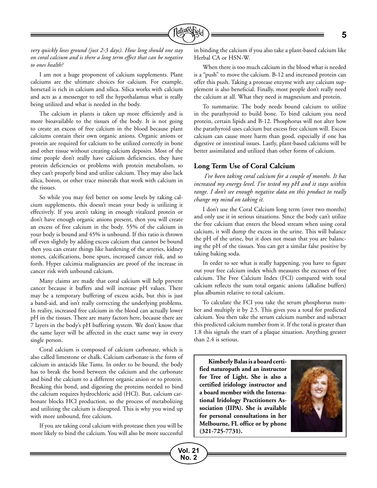

*very quickly loses ground (just 2-3 days). How long should one stay on coral calcium and is there a long term effect that can be negative to ones health?*

I am not a huge proponent of calcium supplements. Plant calciums are the ultimate choices for calcium. For example, horsetail is rich in calcium and silica. Silica works with calcium and acts as a messenger to tell the hypothalamus what is really being utilized and what is needed in the body.

The calcium in plants is taken up more efficiently and is more bioavailable to the tissues of the body. It is not going to create an excess of free calcium in the blood because plant calciums contain their own organic anions. Organic anions or protein are required for calcium to be utilized correctly in bone and other tissue without creating calcium deposits. Most of the time people don't really have calcium deficiencies, they have protein deficiencies or problems with protein metabolism, so they can't properly bind and utilize calcium. They may also lack silica, boron, or other trace minerals that work with calcium in the tissues.

So while you may feel better on some levels by taking calcium supplements, this doesn't mean your body is utilizing it effectively. If you aren't taking in enough vitalized protein or don't have enough organic anions present, then you will create an excess of free calcium in the body. 55% of the calcium in your body is bound and 45% is unbound. If this ratio is thrown off even slightly by adding excess calcium that cannot be bound then you can create things like hardening of the arteries, kidney stones, calcifications, bone spurs, increased cancer risk, and so forth. Hyper calcimia malignancies are proof of the increase in cancer risk with unbound calcium.

Many claims are made that coral calcium will help prevent cancer because it buffers and will increase pH values. There may be a temporary buffering of excess acids, but this is just a band-aid, and isn't really correcting the underlying problems. In reality, increased free calcium in the blood can actually lower pH in the tissues. There are many factors here, because there are 7 layers in the body's pH buffering system. We don't know that the same layer will be affected in the exact same way in every single person.

Coral calcium is composed of calcium carbonate, which is also called limestone or chalk. Calcium carbonate is the form of calcium in antacids like Tums. In order to be bound, the body has to break the bond between the calcium and the carbonate and bind the calcium to a different organic anion or to protein. Breaking this bond, and digesting the proteins needed to bind the calcium requires hydrochloric acid (HCl). But, calcium carbonate blocks HCl production, so the process of metabolizing and utilizing the calcium is disrupted. This is why you wind up with more unbound, free calcium.

If you are taking coral calcium with protease then you will be more likely to bind the calcium. You will also be more successful in binding the calcium if you also take a plant-based calcium like Herbal CA or HSN-W.

When there is too much calcium in the blood what is needed is a "push" to move the calcium. B-12 and increased protein can offer this push. Taking a protease enzyme with any calcium supplement is also beneficial. Finally, most people don't really need the calcium at all. What they need is magnesium and protein.

To summarize. The body needs bound calcium to utilize in the parathyroid to build bone. To bind calcium you need protein, certain lipids and B-12. Phosphorus will not alter how the parathyroid uses calcium but excess free calcium will. Excess calcium can cause more harm than good, especially if one has digestive or intestinal issues. Lastly, plant-based calciums will be better assimilated and utilized than other forms of calcium.

### **Long Term Use of Coral Calcium**

 *I've been taking coral calcium for a couple of months. It has increased my energy level. I've tested my pH and it stays within range. I don't see enough negative data on this product to really change my mind on taking it.* 

I don't use the Coral Calcium long term (over two months) and only use it in serious situations. Since the body can't utilize the free calcium that enters the blood stream when using coral calcium, it will dump the excess in the urine. This will balance the pH of the urine, but it does not mean that you are balancing the pH of the tissues. You can get a similar false positive by taking baking soda.

In order to see what is really happening, you have to figure out your free calcium index which measures the excesses of free calcium. The Free Calcium Index (FCI) compared with total calcium reflects the sum total organic anions (alkaline buffers) plus albumin relative to total calcium.

To calculate the FCI you take the serum phosphorus number and multiply it by 2.5. This gives you a total for predicted calcium. You then take the serum calcium number and subtract this predicted calcium number from it. If the total is greater than 1.8 this signals the start of a plaque situation. Anything greater than 2.4 is serious.

**Kimberly Balas is a board certified naturopath and an instructor for Tree of Light. She is also a certified iridology instructor and a board member with the International Iridology Practitioners Association (IIPA). She is available for personal consultations in her Melbourne, FL office or by phone (321-725-7731).**

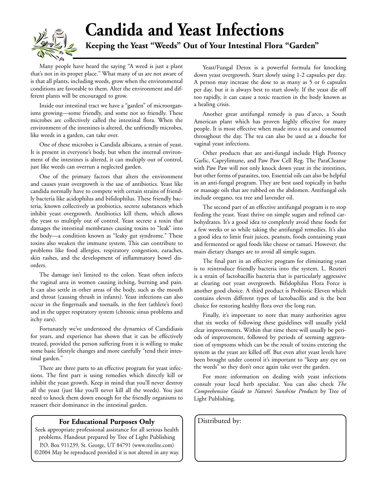## **Candida and Yeast Infections**

**Keeping the Yeast "Weeds" Out of Your Intestinal Flora "Garden"**

Many people have heard the saying "A weed is just a plant that's not in its proper place." What many of us are not aware of is that all plants, including weeds, grow when the environmental conditions are favorable to them. Alter the environment and different plants will be encouraged to grow.

Inside our intestinal tract we have a "garden" of microorganisms growing—some friendly, and some not so friendly. These microbes are collectively called the intestinal flora. When the environment of the intestines is altered, the unfriendly microbes, like weeds in a garden, can take over.

One of these microbes is Candida albicans, a strain of yeast. It is present in everyone's body, but when the internal environment of the intestines is altered, it can multiply out of control, just like weeds can overrun a neglected garden.

One of the primary factors that alters the environment and causes yeast overgrowth is the use of antibiotics. Yeast like candida normally have to compete with certain strains of friendly bacteria like acidophilus and bifidophilus. These friendly bacteria, known collectively as probiotics, secrete substances which inhibit yeast overgrowth. Antibiotics kill them, which allows the yeast to multiply out of control. Yeast secrete a toxin that damages the intestinal membranes causing toxins to "leak" into the body—a condition known as "leaky gut syndrome." These toxins also weaken the immune system. This can contribute to problems like food allergies, respiratory congestion, earaches, skin rashes, and the development of inflammatory bowel disorders.

The damage isn't limited to the colon. Yeast often infects the vaginal area in women causing itching, burning and pain. It can also settle in other areas of the body, such as the mouth and throat (causing thrush in infants). Yeast infections can also occur in the fingernails and toenails, in the feet (athlete's foot) and in the upper respiratory system (chronic sinus problems and itchy ears).

Fortunately we've understood the dynamics of Candidiasis for years, and experience has shown that it can be effectively treated, provided the person suffering from it is willing to make some basic lifestyle changes and more carefully "tend their intestinal garden."

There are three parts to an effective program for yeast infections. The first part is using remedies which directly kill or inhibit the yeast growth. Keep in mind that you'll never destroy all the yeast (just like you'll never kill all the weeds). You just need to knock them down enough for the friendly organisms to reassert their dominance in the intestinal garden.

### **For Educational Purposes Only** | Distributed by:

Seek appropriate professional assistance for all serious health problems. Handout prepared by Tree of Light Publishing P.O. Box 911239, St. George, UT 84791 (www.treelite.com) ©2004 May be reproduced provided it is not altered in any way.

Yeast/Fungal Detox is a powerful formula for knocking down yeast overgrowth. Start slowly using 1-2 capsules per day. A person may increase the dose to as many as 5 or 6 capsules per day, but it is always best to start slowly. If the yeast die off too rapidly, it can cause a toxic reaction in the body known as a healing crisis.

Another great antifungal remedy is pau d'arco, a South American plant which has proven highly effective for many people. It is most effective when made into a tea and consumed throughout the day. The tea can also be used as a douche for vaginal yeast infections.

Other products that are anti-fungal include High Potency Garlic, Caprylimune, and Paw Paw Cell Reg. The ParaCleanse with Paw Paw will not only knock down yeast in the intestines, but other forms of parasites, too. Essential oils can also be helpful in an anti-fungal program. They are best used topically in baths or massage oils that are rubbed on the abdomen. Antifungal oils include oregano, tea tree and lavender oil.

The second part of an effective antifungal program is to stop feeding the yeast. Yeast thrive on simple sugars and refined carbohydrates. It's a good idea to completely avoid these foods for a few weeks or so while taking the antifungal remedies. It's also a good idea to limit fruit juices, peanuts, foods containing yeast and fermented or aged foods like cheese or tamari. However, the main dietary changes are to avoid all simple sugars.

The final part in an effective program for eliminating yeast is to reintroduce friendly bacteria into the system. L. Reuteri is a strain of lactobacillis bacteria that is particularly aggressive at clearing out yeast overgrowth. Bifidophilus Flora Force is another good choice. A third product is Probiotic Eleven which contains eleven different types of lactobacillis and is the best choice for restoring healthy flora over the long run.

Finally, it's important to note that many authorities agree that six weeks of following these guidelines will usually yield clear improvements. Within that time there will usually be periods of improvement, followed by periods of seeming aggravation of symptoms which can be the result of toxins entering the system as the yeast are killed off. But even after yeast levels have been brought under control it's important to "keep any eye on the weeds" so they don't once again take over the garden.

For more information on dealing with yeast infections consult your local herb specialist. You can also check *The Comprehensive Guide to Nature's Sunshine Products* by Tree of Light Publishing.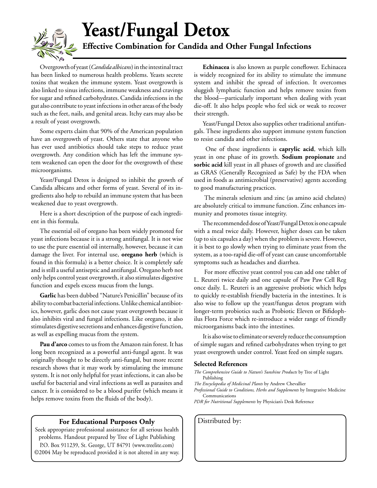## **Yeast/Fungal Detox**

### **Effective Combination for Candida and Other Fungal Infections**

Overgrowth of yeast (*Candida albicans*) in the intestinal tract has been linked to numerous health problems. Yeasts secrete toxins that weaken the immune system. Yeast overgrowth is also linked to sinus infections, immune weakness and cravings for sugar and refined carbohydrates. Candida infections in the gut also contribute to yeast infections in other areas of the body such as the feet, nails, and genital areas. Itchy ears may also be a result of yeast overgrowth.

Some experts claim that 90% of the American population have an overgrowth of yeast. Others state that anyone who has ever used antibiotics should take steps to reduce yeast overgrowth. Any condition which has left the immune system weakened can open the door for the overgrowth of these microorganisms.

Yeast/Fungal Detox is designed to inhibit the growth of Candida albicans and other forms of yeast. Several of its ingredients also help to rebuild an immune system that has been weakened due to yeast overgrowth.

Here is a short description of the purpose of each ingredient in this formula.

The essential oil of oregano has been widely promoted for yeast infections because it is a strong antifungal. It is not wise to use the pure essential oil internally, however, because it can damage the liver. For internal use, **oregano herb** (which is found in this formula) is a better choice. It is completely safe and is still a useful antiseptic and antifungal. Oregano herb not only helps control yeast overgrowth, it also stimulates digestive function and expels excess mucus from the lungs.

**Garlic** has been dubbed "Nature's Penicillin" because of its ability to combat bacterial infections. Unlike chemical antibiotics, however, garlic does not cause yeast overgrowth because it also inhibits viral and fungal infections. Like oregano, it also stimulates digestive secretions and enhances digestive function, as well as expelling mucus from the system.

**Pau d'arco** comes to us from the Amazon rain forest. It has long been recognized as a powerful anti-fungal agent. It was originally thought to be directly anti-fungal, but more recent research shows that it may work by stimulating the immune system. It is not only helpful for yeast infections, it can also be useful for bacterial and viral infections as well as parasites and cancer. It is considered to be a blood purifer (which means it helps remove toxins from the fluids of the body).

### **For Educational Purposes Only** | Distributed by:

Seek appropriate professional assistance for all serious health problems. Handout prepared by Tree of Light Publishing P.O. Box 911239, St. George, UT 84791 (www.treelite.com) ©2004 May be reproduced provided it is not altered in any way.

**Echinacea** is also known as purple coneflower. Echinacea is widely recognized for its ability to stimulate the immune system and inhibit the spread of infection. It overcomes sluggish lymphatic function and helps remove toxins from the blood—particularly important when dealing with yeast die-off. It also helps people who feel sick or weak to recover their strength.

Yeast/Fungal Detox also supplies other traditional antifungals. These ingredients also support immune system function to resist candida and other infections.

 One of these ingredients is **caprylic acid**, which kills yeast in one phase of its growth. **Sodium propionate** and **sorbic acid** kill yeast in all phases of growth and are classified as GRAS (Generally Recognized as Safe) by the FDA when used in foods as antimicrobial (preservative) agents according to good manufacturing practices.

 The minerals selenium and zinc (as amino acid chelates) are absolutely critical to immune function. Zinc enhances immunity and promotes tissue integrity.

The recommended dose of Yeast/Fungal Detox is one capsule with a meal twice daily. However, higher doses can be taken (up to six capsules a day) when the problem is severe. However, it is best to go slowly when trying to eliminate yeast from the system, as a too-rapid die-off of yeast can cause uncomfortable symptoms such as headaches and diarrhea.

 For more effective yeast control you can add one tablet of L. Reuteri twice daily and one capsule of Paw Paw Cell Reg once daily. L. Reuteri is an aggressive probiotic which helps to quickly re-establish friendly bacteria in the intestines. It is also wise to follow up the yeast/fungus detox program with longer-term probiotics such as Probiotic Eleven or Bifidophilus Flora Force which re-introduce a wider range of friendly microorganisms back into the intestines.

It is also wise to eliminate or severely reduce the consumption of simple sugars and refined carbohydrates when trying to get yeast overgrowth under control. Yeast feed on simple sugars.

#### **Selected References**

*The Comprehensive Guide to Nature's Sunshine Products* by Tree of Light Publishing

*The Encyclopedia of Medicinal Plants* by Andrew Chevallier

*Professional Guide to Conditions, Herbs and Supplements* by Integrative Medicine Communications

*PDR for Nutritional Supplements* by Physician's Desk Reference